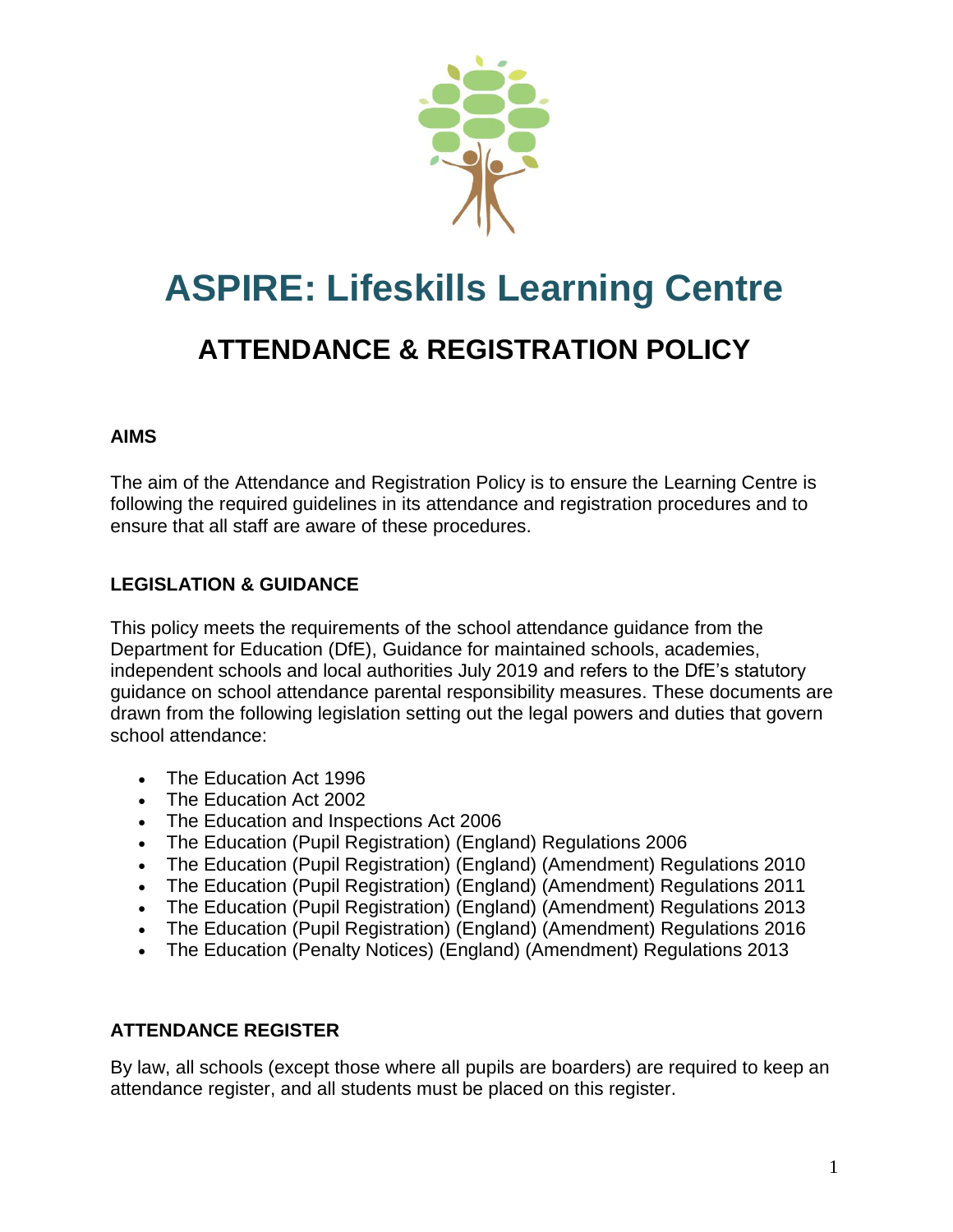

# **ASPIRE: Lifeskills Learning Centre ATTENDANCE & REGISTRATION POLICY**

# **AIMS**

The aim of the Attendance and Registration Policy is to ensure the Learning Centre is following the required guidelines in its attendance and registration procedures and to ensure that all staff are aware of these procedures.

# **LEGISLATION & GUIDANCE**

This policy meets the requirements of the [school attendance guidance](https://www.gov.uk/government/publications/school-attendance) from the Department for Education (DfE), Guidance for maintained schools, academies, independent schools and local authorities July 2019 and refers to the DfE's statutory guidance on [school attendance parental responsibility measures.](https://www.gov.uk/government/publications/parental-responsibility-measures-for-behaviour-and-attendance) These documents are drawn from the following legislation setting out the legal powers and duties that govern school attendance:

- [The Education Act 1996](https://www.legislation.gov.uk/ukpga/1996/56/part/VI/chapter/II)
- [The Education Act 2002](http://www.legislation.gov.uk/ukpga/2002/32/part/3/chapter/3)
- [The Education and Inspections Act 2006](http://www.legislation.gov.uk/ukpga/2006/40/part/7/chapter/2/crossheading/school-attendance)
- [The Education \(Pupil Registration\) \(England\) Regulations 2006](http://www.legislation.gov.uk/uksi/2006/1751/contents/made)
- [The Education \(Pupil Registration\) \(England\) \(Amendment\) Regulations 2010](http://www.centralbedfordshire.gov.uk/Images/amendment-regulation-2010_tcm3-8642.pdf)
- [The Education \(Pupil Registration\) \(England\) \(Amendment\) Regulations 2011](http://www.legislation.gov.uk/uksi/2011/1625/made)
- [The Education \(Pupil Registration\) \(England\) \(Amendment\) Regulations 2013](http://www.legislation.gov.uk/uksi/2013/756/made)
- [The Education \(Pupil Registration\) \(England\) \(Amendment\) Regulations 2016](http://legislation.data.gov.uk/uksi/2016/792/made/data.html)
- [The Education \(Penalty Notices\) \(England\) \(Amendment\) Regulations 2013](http://www.legislation.gov.uk/uksi/2013/756/pdfs/uksiem_20130756_en.pdf)

# **ATTENDANCE REGISTER**

By law, all schools (except those where all pupils are boarders) are required to keep an attendance register, and all students must be placed on this register.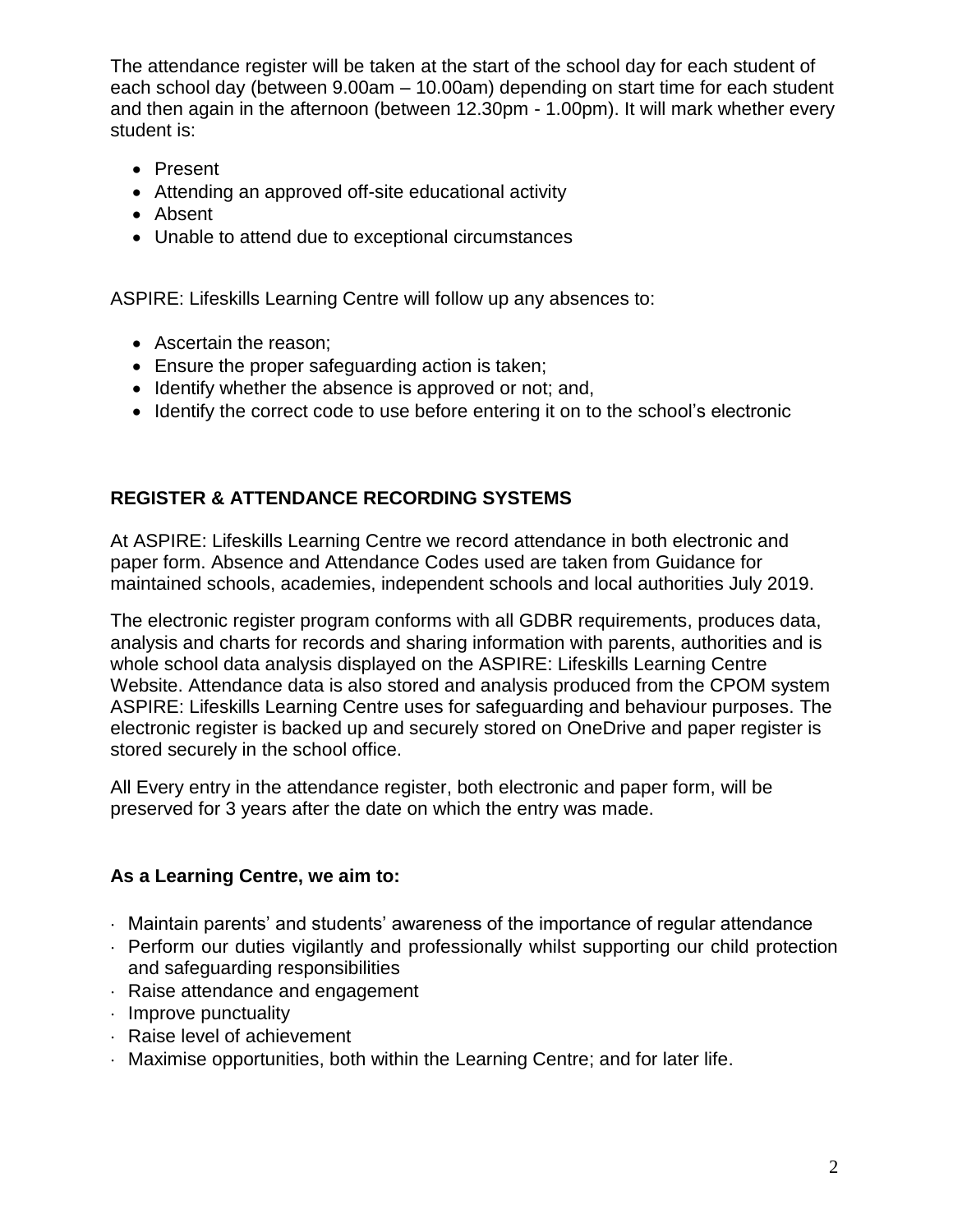The attendance register will be taken at the start of the school day for each student of each school day (between 9.00am – 10.00am) depending on start time for each student and then again in the afternoon (between 12.30pm - 1.00pm). It will mark whether every student is:

- Present
- Attending an approved off-site educational activity
- Absent
- Unable to attend due to exceptional circumstances

ASPIRE: Lifeskills Learning Centre will follow up any absences to:

- Ascertain the reason;
- Ensure the proper safeguarding action is taken;
- Identify whether the absence is approved or not; and,
- Identify the correct code to use before entering it on to the school's electronic

# **REGISTER & ATTENDANCE RECORDING SYSTEMS**

At ASPIRE: Lifeskills Learning Centre we record attendance in both electronic and paper form. Absence and Attendance Codes used are taken from Guidance for maintained schools, academies, independent schools and local authorities July 2019.

The electronic register program conforms with all GDBR requirements, produces data, analysis and charts for records and sharing information with parents, authorities and is whole school data analysis displayed on the ASPIRE: Lifeskills Learning Centre Website. Attendance data is also stored and analysis produced from the CPOM system ASPIRE: Lifeskills Learning Centre uses for safeguarding and behaviour purposes. The electronic register is backed up and securely stored on OneDrive and paper register is stored securely in the school office.

All Every entry in the attendance register, both electronic and paper form, will be preserved for 3 years after the date on which the entry was made.

# **As a Learning Centre, we aim to:**

- Maintain parents' and students' awareness of the importance of regular attendance
- Perform our duties vigilantly and professionally whilst supporting our child protection and safeguarding responsibilities
- Raise attendance and engagement
- $\cdot$  Improve punctuality
- Raise level of achievement
- $\cdot$  Maximise opportunities, both within the Learning Centre; and for later life.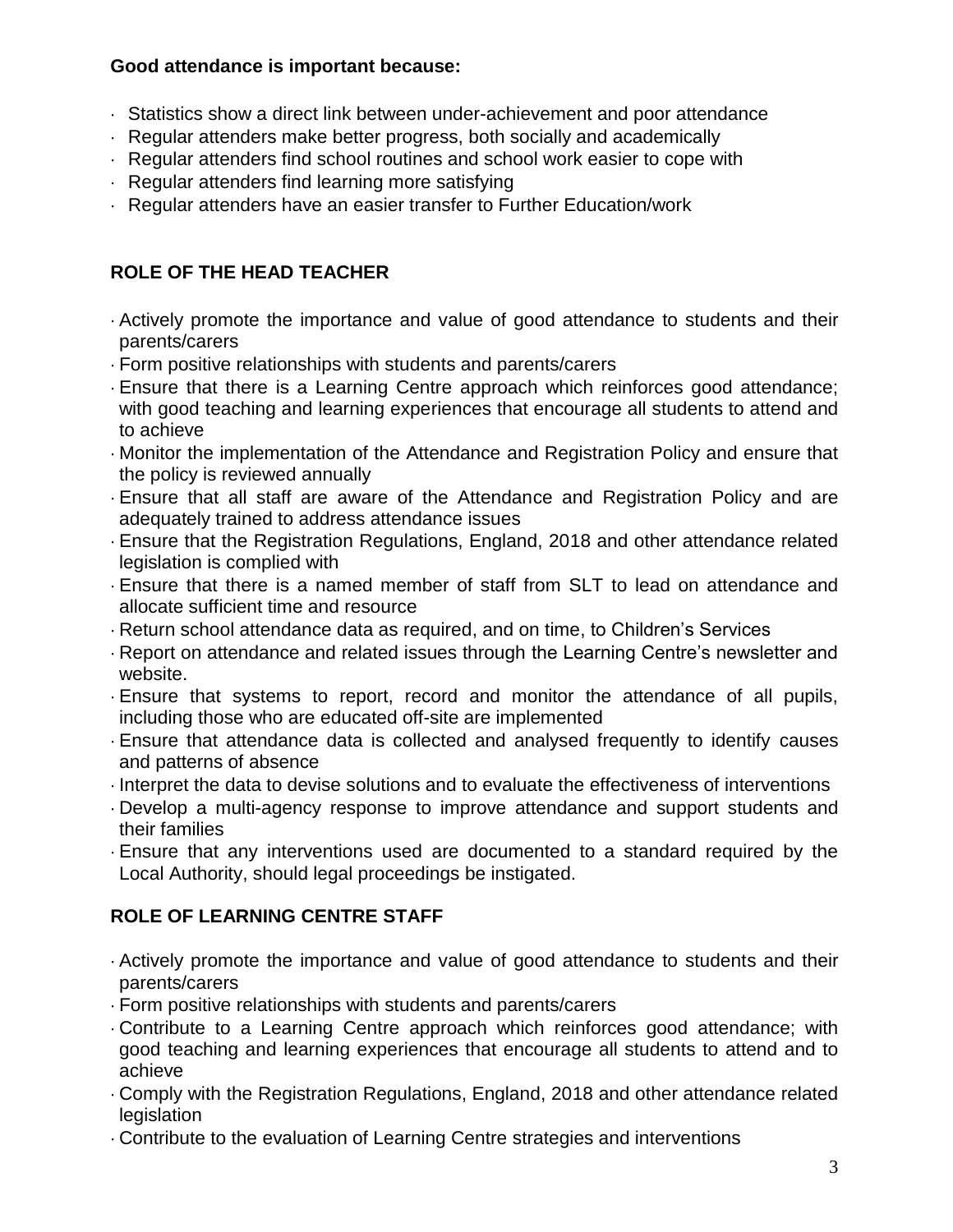## **Good attendance is important because:**

- Statistics show a direct link between under-achievement and poor attendance
- Regular attenders make better progress, both socially and academically
- Regular attenders find school routines and school work easier to cope with
- $\cdot$  Regular attenders find learning more satisfying
- Regular attenders have an easier transfer to Further Education/work

# **ROLE OF THE HEAD TEACHER**

- Actively promote the importance and value of good attendance to students and their parents/carers
- Form positive relationships with students and parents/carers
- Ensure that there is a Learning Centre approach which reinforces good attendance; with good teaching and learning experiences that encourage all students to attend and to achieve
- Monitor the implementation of the Attendance and Registration Policy and ensure that the policy is reviewed annually
- Ensure that all staff are aware of the Attendance and Registration Policy and are adequately trained to address attendance issues
- Ensure that the Registration Regulations, England, 2018 and other attendance related legislation is complied with
- Ensure that there is a named member of staff from SLT to lead on attendance and allocate sufficient time and resource
- Return school attendance data as required, and on time, to Children's Services
- Report on attendance and related issues through the Learning Centre's newsletter and website.
- Ensure that systems to report, record and monitor the attendance of all pupils, including those who are educated off-site are implemented
- Ensure that attendance data is collected and analysed frequently to identify causes and patterns of absence
- Interpret the data to devise solutions and to evaluate the effectiveness of interventions
- Develop a multi-agency response to improve attendance and support students and their families
- Ensure that any interventions used are documented to a standard required by the Local Authority, should legal proceedings be instigated.

# **ROLE OF LEARNING CENTRE STAFF**

- Actively promote the importance and value of good attendance to students and their parents/carers
- Form positive relationships with students and parents/carers
- Contribute to a Learning Centre approach which reinforces good attendance; with good teaching and learning experiences that encourage all students to attend and to achieve
- Comply with the Registration Regulations, England, 2018 and other attendance related legislation
- Contribute to the evaluation of Learning Centre strategies and interventions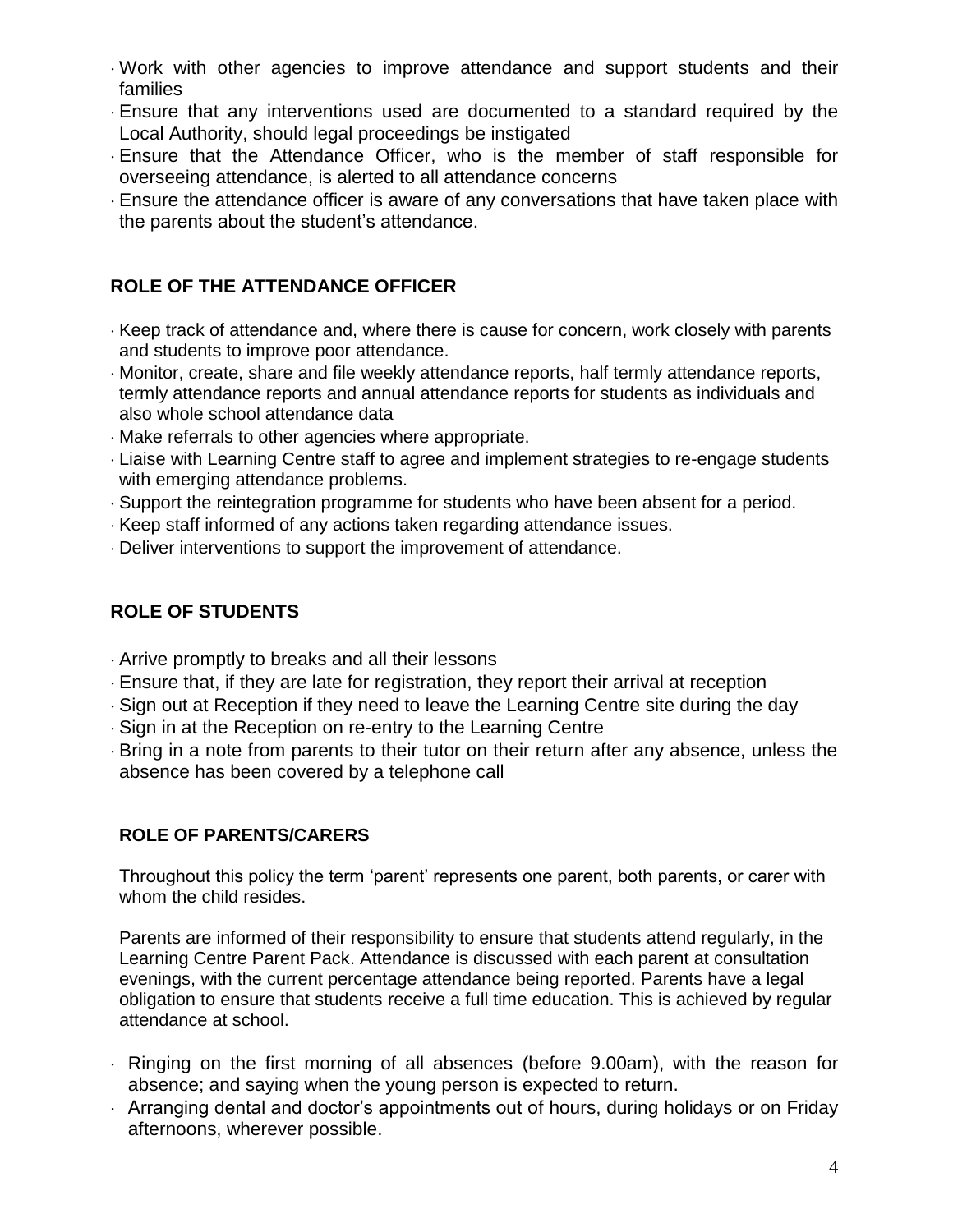- Work with other agencies to improve attendance and support students and their families
- Ensure that any interventions used are documented to a standard required by the Local Authority, should legal proceedings be instigated
- Ensure that the Attendance Officer, who is the member of staff responsible for overseeing attendance, is alerted to all attendance concerns
- Ensure the attendance officer is aware of any conversations that have taken place with the parents about the student's attendance.

# **ROLE OF THE ATTENDANCE OFFICER**

- $\cdot$  Keep track of attendance and, where there is cause for concern, work closely with parents and students to improve poor attendance.
- Monitor, create, share and file weekly attendance reports, half termly attendance reports, termly attendance reports and annual attendance reports for students as individuals and also whole school attendance data
- Make referrals to other agencies where appropriate.
- Liaise with Learning Centre staff to agree and implement strategies to re-engage students with emerging attendance problems.
- Support the reintegration programme for students who have been absent for a period.
- Keep staff informed of any actions taken regarding attendance issues.
- Deliver interventions to support the improvement of attendance.

# **ROLE OF STUDENTS**

- Arrive promptly to breaks and all their lessons
- Ensure that, if they are late for registration, they report their arrival at reception
- Sign out at Reception if they need to leave the Learning Centre site during the day
- Sign in at the Reception on re-entry to the Learning Centre
- Bring in a note from parents to their tutor on their return after any absence, unless the absence has been covered by a telephone call

# **ROLE OF PARENTS/CARERS**

Throughout this policy the term 'parent' represents one parent, both parents, or carer with whom the child resides.

Parents are informed of their responsibility to ensure that students attend regularly, in the Learning Centre Parent Pack. Attendance is discussed with each parent at consultation evenings, with the current percentage attendance being reported. Parents have a legal obligation to ensure that students receive a full time education. This is achieved by regular attendance at school.

- Ringing on the first morning of all absences (before 9.00am), with the reason for absence; and saying when the young person is expected to return.
- Arranging dental and doctor's appointments out of hours, during holidays or on Friday afternoons, wherever possible.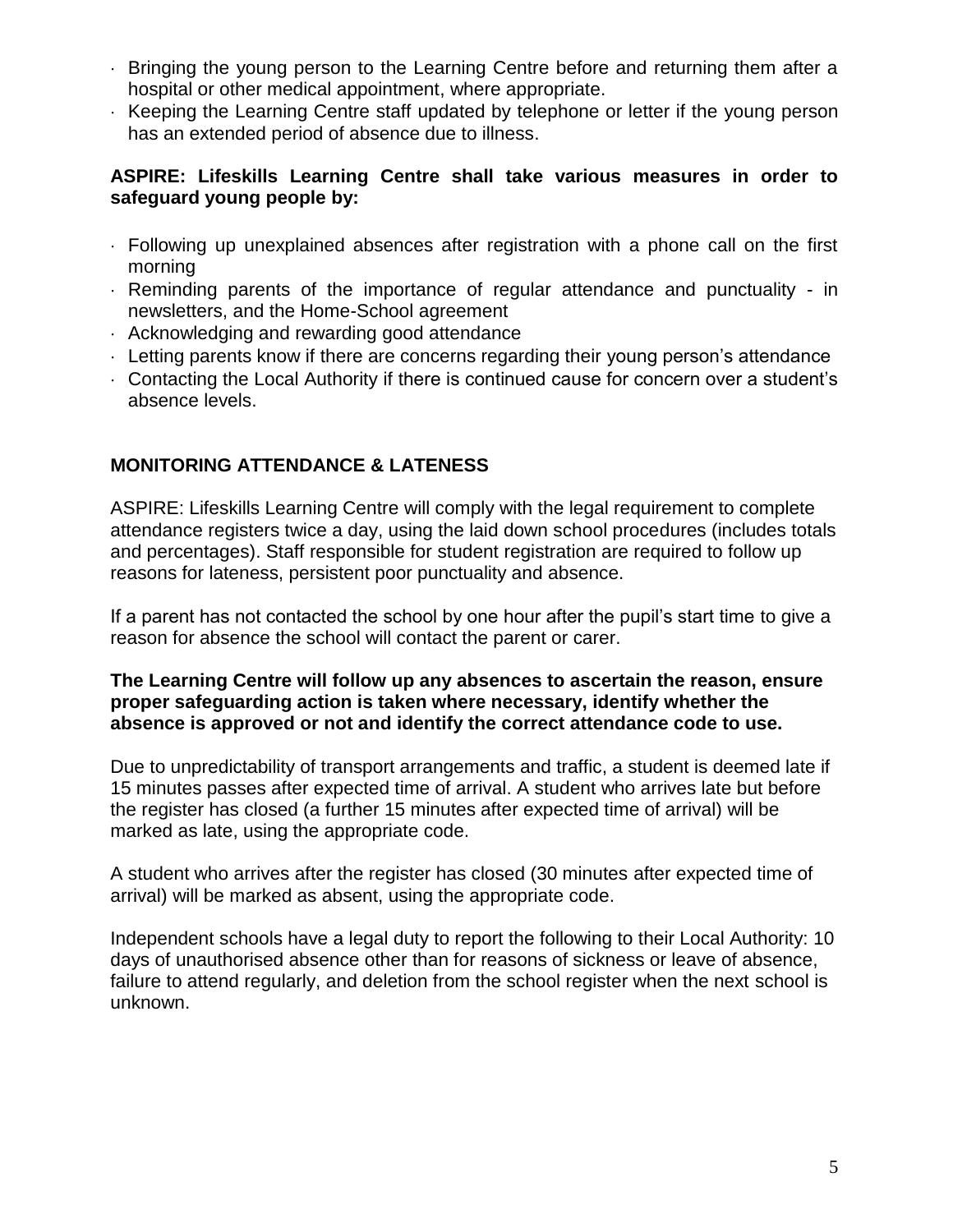- Bringing the young person to the Learning Centre before and returning them after a hospital or other medical appointment, where appropriate.
- Keeping the Learning Centre staff updated by telephone or letter if the young person has an extended period of absence due to illness.

### **ASPIRE: Lifeskills Learning Centre shall take various measures in order to safeguard young people by:**

- Following up unexplained absences after registration with a phone call on the first morning
- Reminding parents of the importance of regular attendance and punctuality in newsletters, and the Home-School agreement
- Acknowledging and rewarding good attendance
- $\cdot$  Letting parents know if there are concerns regarding their young person's attendance
- Contacting the Local Authority if there is continued cause for concern over a student's absence levels.

# **MONITORING ATTENDANCE & LATENESS**

ASPIRE: Lifeskills Learning Centre will comply with the legal requirement to complete attendance registers twice a day, using the laid down school procedures (includes totals and percentages). Staff responsible for student registration are required to follow up reasons for lateness, persistent poor punctuality and absence.

If a parent has not contacted the school by one hour after the pupil's start time to give a reason for absence the school will contact the parent or carer.

#### **The Learning Centre will follow up any absences to ascertain the reason, ensure proper safeguarding action is taken where necessary, identify whether the absence is approved or not and identify the correct attendance code to use.**

Due to unpredictability of transport arrangements and traffic, a student is deemed late if 15 minutes passes after expected time of arrival. A student who arrives late but before the register has closed (a further 15 minutes after expected time of arrival) will be marked as late, using the appropriate code.

A student who arrives after the register has closed (30 minutes after expected time of arrival) will be marked as absent, using the appropriate code.

Independent schools have a legal duty to report the following to their Local Authority: 10 days of unauthorised absence other than for reasons of sickness or leave of absence, failure to attend regularly, and deletion from the school register when the next school is unknown.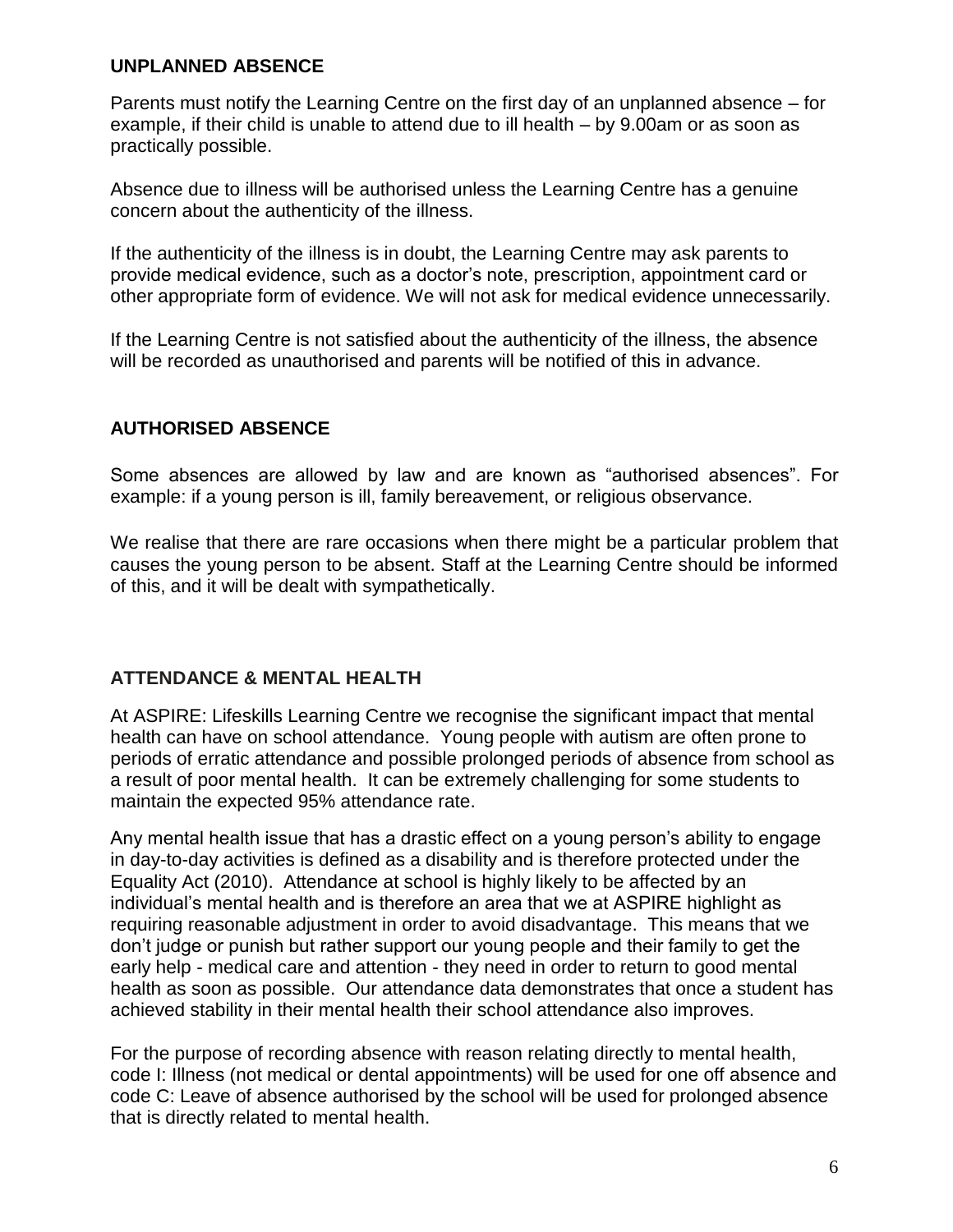#### **UNPLANNED ABSENCE**

Parents must notify the Learning Centre on the first day of an unplanned absence – for example, if their child is unable to attend due to ill health – by 9.00am or as soon as practically possible.

Absence due to illness will be authorised unless the Learning Centre has a genuine concern about the authenticity of the illness.

If the authenticity of the illness is in doubt, the Learning Centre may ask parents to provide medical evidence, such as a doctor's note, prescription, appointment card or other appropriate form of evidence. We will not ask for medical evidence unnecessarily.

If the Learning Centre is not satisfied about the authenticity of the illness, the absence will be recorded as unauthorised and parents will be notified of this in advance.

# **AUTHORISED ABSENCE**

Some absences are allowed by law and are known as "authorised absences". For example: if a young person is ill, family bereavement, or religious observance.

We realise that there are rare occasions when there might be a particular problem that causes the young person to be absent. Staff at the Learning Centre should be informed of this, and it will be dealt with sympathetically.

# **ATTENDANCE & MENTAL HEALTH**

At ASPIRE: Lifeskills Learning Centre we recognise the significant impact that mental health can have on school attendance. Young people with autism are often prone to periods of erratic attendance and possible prolonged periods of absence from school as a result of poor mental health. It can be extremely challenging for some students to maintain the expected 95% attendance rate.

Any mental health issue that has a drastic effect on a young person's ability to engage in day-to-day activities is defined as a disability and is therefore protected under the Equality Act (2010). Attendance at school is highly likely to be affected by an individual's mental health and is therefore an area that we at ASPIRE highlight as requiring reasonable adjustment in order to avoid disadvantage. This means that we don't judge or punish but rather support our young people and their family to get the early help - medical care and attention - they need in order to return to good mental health as soon as possible. Our attendance data demonstrates that once a student has achieved stability in their mental health their school attendance also improves.

For the purpose of recording absence with reason relating directly to mental health, code I: Illness (not medical or dental appointments) will be used for one off absence and code C: Leave of absence authorised by the school will be used for prolonged absence that is directly related to mental health.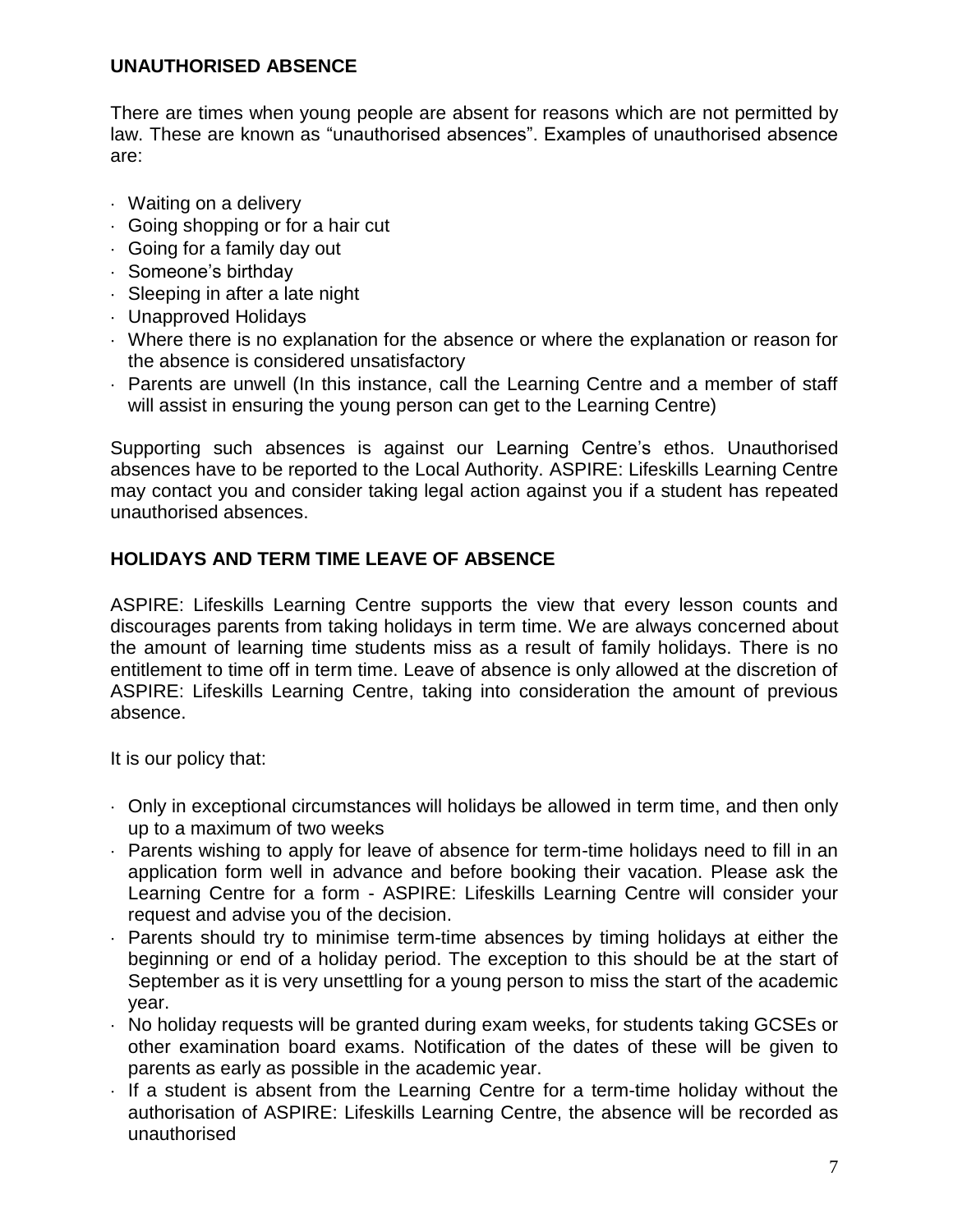## **UNAUTHORISED ABSENCE**

There are times when young people are absent for reasons which are not permitted by law. These are known as "unauthorised absences". Examples of unauthorised absence are:

- Waiting on a delivery
- Going shopping or for a hair cut
- Going for a family day out
- Someone's birthday
- Sleeping in after a late night
- Unapproved Holidays
- Where there is no explanation for the absence or where the explanation or reason for the absence is considered unsatisfactory
- Parents are unwell (In this instance, call the Learning Centre and a member of staff will assist in ensuring the young person can get to the Learning Centre)

Supporting such absences is against our Learning Centre's ethos. Unauthorised absences have to be reported to the Local Authority. ASPIRE: Lifeskills Learning Centre may contact you and consider taking legal action against you if a student has repeated unauthorised absences.

# **HOLIDAYS AND TERM TIME LEAVE OF ABSENCE**

ASPIRE: Lifeskills Learning Centre supports the view that every lesson counts and discourages parents from taking holidays in term time. We are always concerned about the amount of learning time students miss as a result of family holidays. There is no entitlement to time off in term time. Leave of absence is only allowed at the discretion of ASPIRE: Lifeskills Learning Centre, taking into consideration the amount of previous absence.

It is our policy that:

- Only in exceptional circumstances will holidays be allowed in term time, and then only up to a maximum of two weeks
- Parents wishing to apply for leave of absence for term-time holidays need to fill in an application form well in advance and before booking their vacation. Please ask the Learning Centre for a form - ASPIRE: Lifeskills Learning Centre will consider your request and advise you of the decision.
- Parents should try to minimise term-time absences by timing holidays at either the beginning or end of a holiday period. The exception to this should be at the start of September as it is very unsettling for a young person to miss the start of the academic year.
- $\cdot$  No holiday requests will be granted during exam weeks, for students taking GCSEs or other examination board exams. Notification of the dates of these will be given to parents as early as possible in the academic year.
- $\cdot$  If a student is absent from the Learning Centre for a term-time holiday without the authorisation of ASPIRE: Lifeskills Learning Centre, the absence will be recorded as unauthorised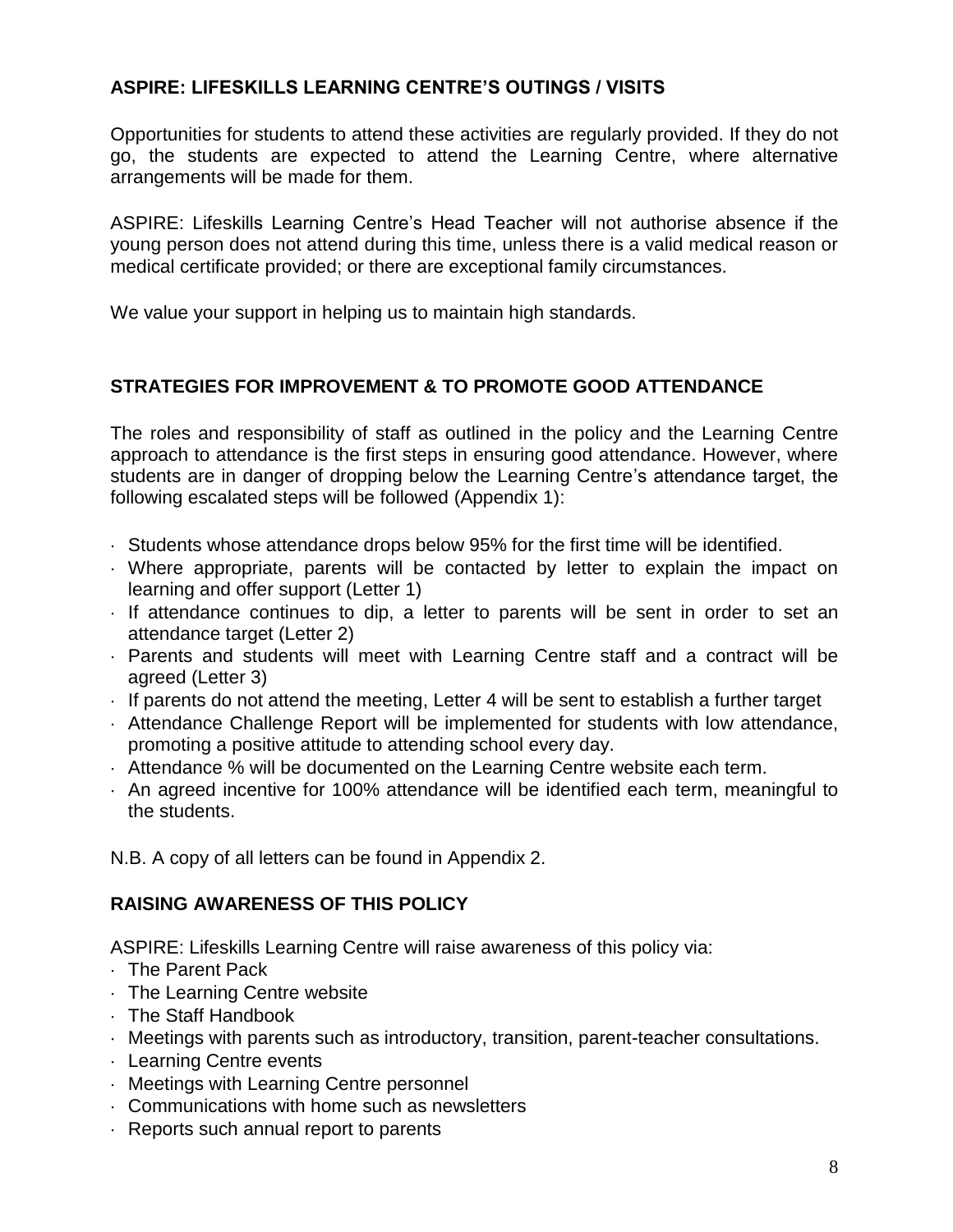# **ASPIRE: LIFESKILLS LEARNING CENTRE'S OUTINGS / VISITS**

Opportunities for students to attend these activities are regularly provided. If they do not go, the students are expected to attend the Learning Centre, where alternative arrangements will be made for them.

ASPIRE: Lifeskills Learning Centre's Head Teacher will not authorise absence if the young person does not attend during this time, unless there is a valid medical reason or medical certificate provided; or there are exceptional family circumstances.

We value your support in helping us to maintain high standards.

# **STRATEGIES FOR IMPROVEMENT & TO PROMOTE GOOD ATTENDANCE**

The roles and responsibility of staff as outlined in the policy and the Learning Centre approach to attendance is the first steps in ensuring good attendance. However, where students are in danger of dropping below the Learning Centre's attendance target, the following escalated steps will be followed (Appendix 1):

- $\cdot$  Students whose attendance drops below 95% for the first time will be identified.
- Where appropriate, parents will be contacted by letter to explain the impact on learning and offer support (Letter 1)
- $\cdot$  If attendance continues to dip, a letter to parents will be sent in order to set an attendance target (Letter 2)
- Parents and students will meet with Learning Centre staff and a contract will be agreed (Letter 3)
- $\cdot$  If parents do not attend the meeting, Letter 4 will be sent to establish a further target
- Attendance Challenge Report will be implemented for students with low attendance, promoting a positive attitude to attending school every day.
- $\cdot$  Attendance % will be documented on the Learning Centre website each term.
- An agreed incentive for 100% attendance will be identified each term, meaningful to the students.

N.B. A copy of all letters can be found in Appendix 2.

# **RAISING AWARENESS OF THIS POLICY**

ASPIRE: Lifeskills Learning Centre will raise awareness of this policy via:

- $\cdot$  The Parent Pack
- The Learning Centre website
- The Staff Handbook
- $\cdot$  Meetings with parents such as introductory, transition, parent-teacher consultations.
- Learning Centre events
- Meetings with Learning Centre personnel
- Communications with home such as newsletters
- Reports such annual report to parents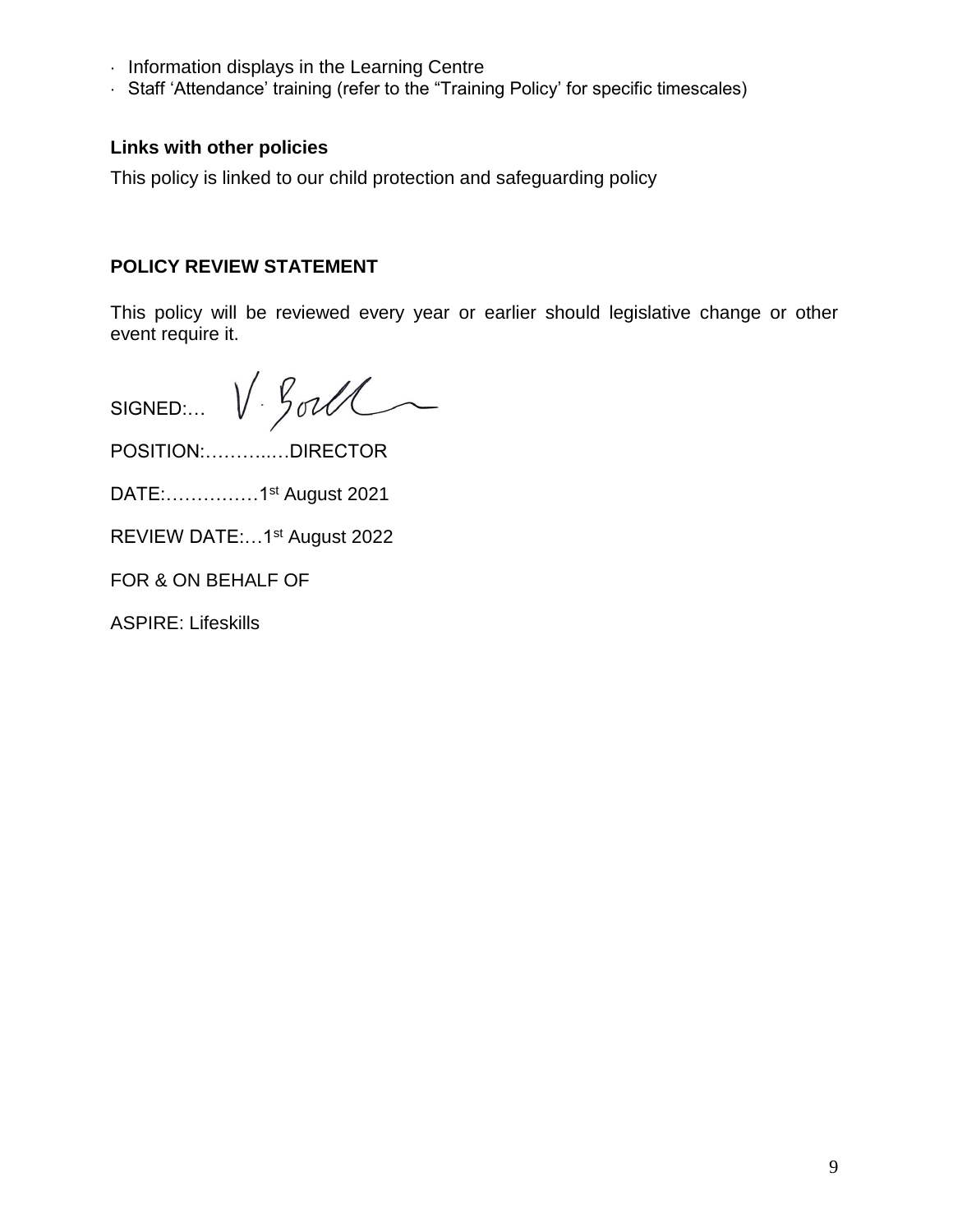- $\cdot$  Information displays in the Learning Centre
- Staff 'Attendance' training (refer to the "Training Policy' for specific timescales)

#### **Links with other policies**

This policy is linked to our child protection and safeguarding policy

# **POLICY REVIEW STATEMENT**

This policy will be reviewed every year or earlier should legislative change or other event require it.

V. Gorll SIGNED:…

POSITION:………..…DIRECTOR

DATE:……………1st August 2021

REVIEW DATE:…1st August 2022

FOR & ON BEHALF OF

ASPIRE: Lifeskills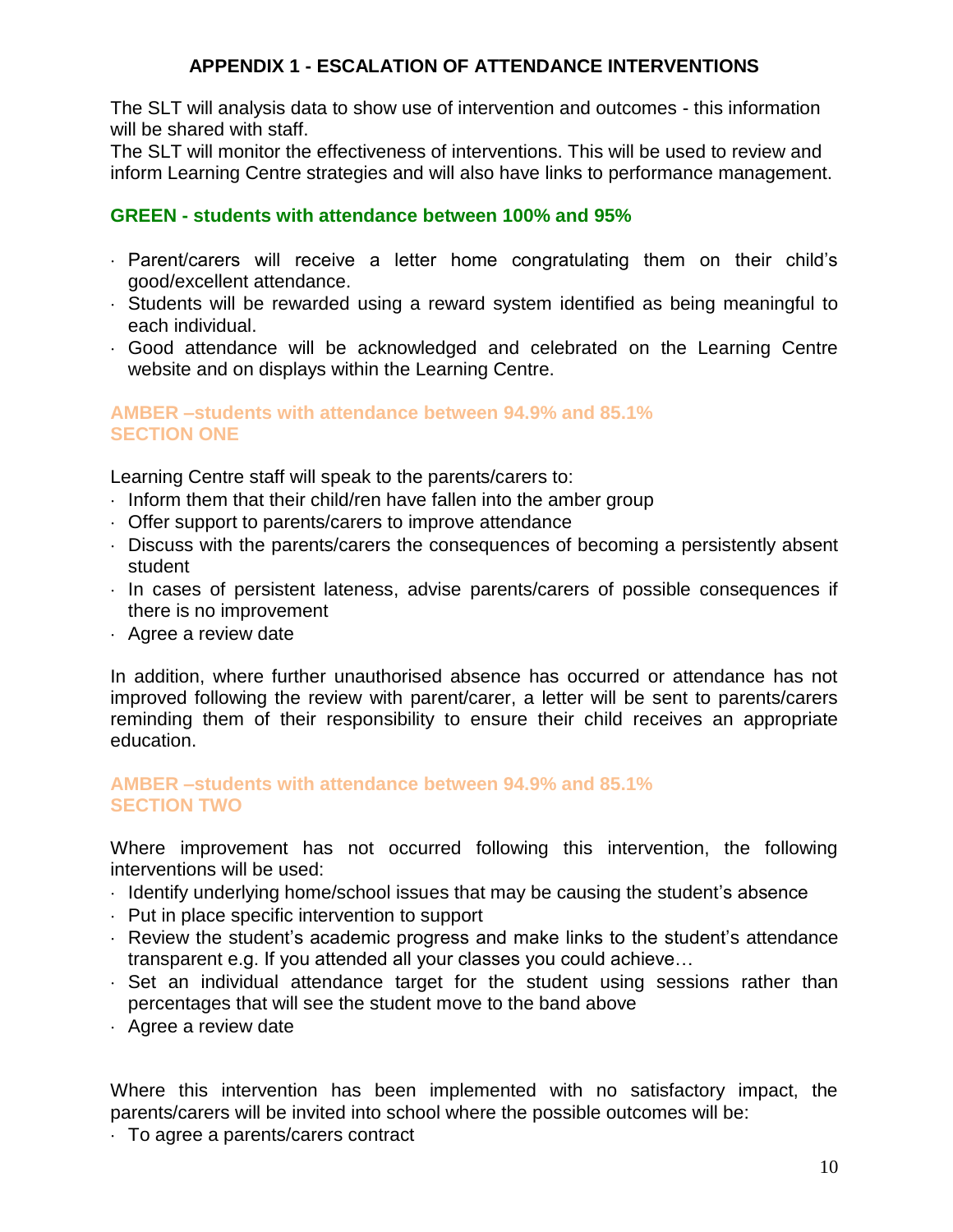## **APPENDIX 1 - ESCALATION OF ATTENDANCE INTERVENTIONS**

The SLT will analysis data to show use of intervention and outcomes - this information will be shared with staff.

The SLT will monitor the effectiveness of interventions. This will be used to review and inform Learning Centre strategies and will also have links to performance management.

#### **GREEN - students with attendance between 100% and 95%**

- Parent/carers will receive a letter home congratulating them on their child's good/excellent attendance.
- $\cdot$  Students will be rewarded using a reward system identified as being meaningful to each individual.
- Good attendance will be acknowledged and celebrated on the Learning Centre website and on displays within the Learning Centre.

#### **AMBER –students with attendance between 94.9% and 85.1% SECTION ONE**

Learning Centre staff will speak to the parents/carers to:

- $\cdot$  Inform them that their child/ren have fallen into the amber group
- Offer support to parents/carers to improve attendance
- Discuss with the parents/carers the consequences of becoming a persistently absent student
- In cases of persistent lateness, advise parents/carers of possible consequences if there is no improvement
- Agree a review date

In addition, where further unauthorised absence has occurred or attendance has not improved following the review with parent/carer, a letter will be sent to parents/carers reminding them of their responsibility to ensure their child receives an appropriate education.

#### **AMBER –students with attendance between 94.9% and 85.1% SECTION TWO**

Where improvement has not occurred following this intervention, the following interventions will be used:

- I Identify underlying home/school issues that may be causing the student's absence
- $\cdot$  Put in place specific intervention to support
- $\cdot$  Review the student's academic progress and make links to the student's attendance transparent e.g. If you attended all your classes you could achieve…
- Set an individual attendance target for the student using sessions rather than percentages that will see the student move to the band above
- Agree a review date

Where this intervention has been implemented with no satisfactory impact, the parents/carers will be invited into school where the possible outcomes will be:

To agree a parents/carers contract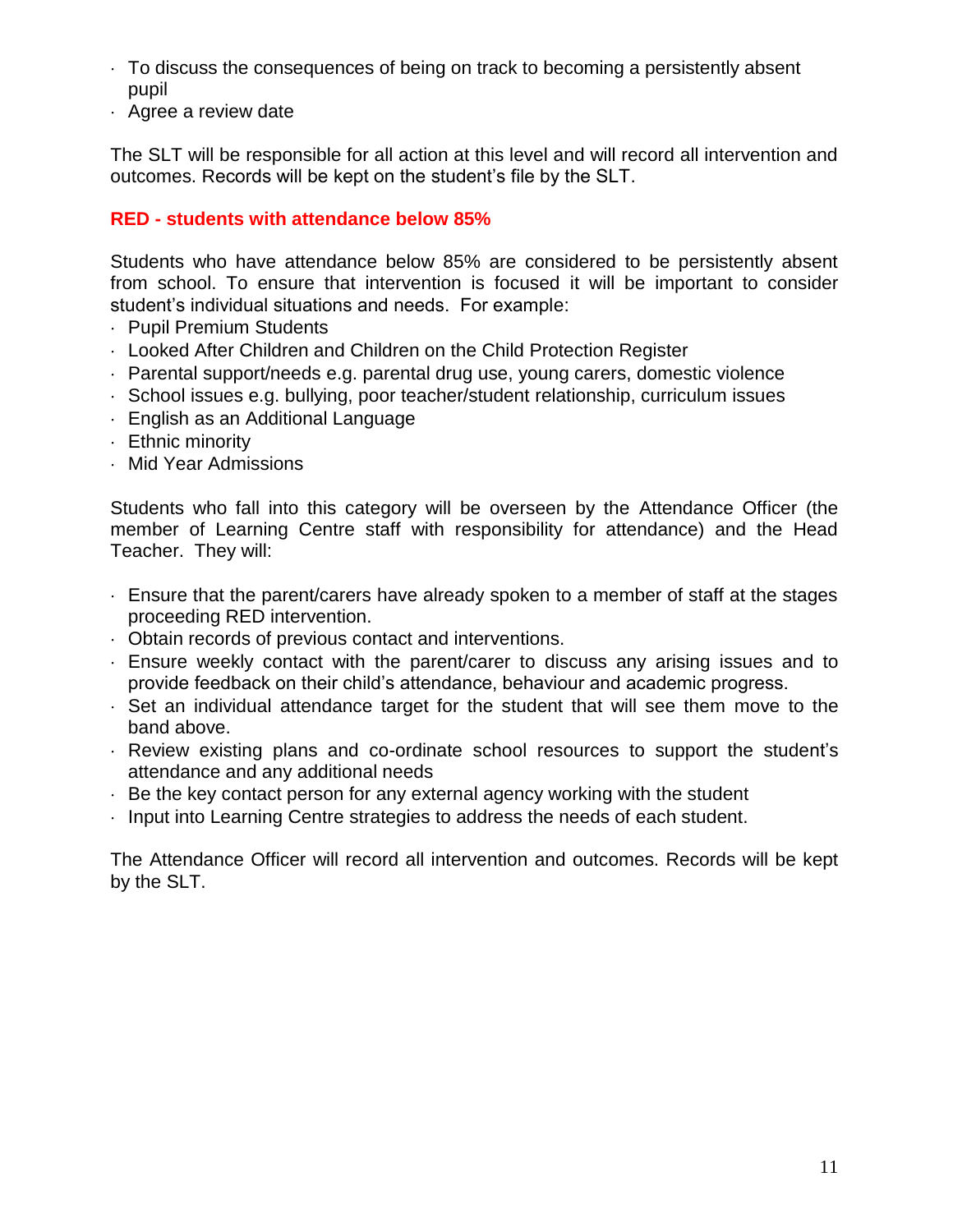- To discuss the consequences of being on track to becoming a persistently absent pupil
- Agree a review date

The SLT will be responsible for all action at this level and will record all intervention and outcomes. Records will be kept on the student's file by the SLT.

# **RED - students with attendance below 85%**

Students who have attendance below 85% are considered to be persistently absent from school. To ensure that intervention is focused it will be important to consider student's individual situations and needs. For example:

- Pupil Premium Students
- Looked After Children and Children on the Child Protection Register
- Parental support/needs e.g. parental drug use, young carers, domestic violence
- School issues e.g. bullying, poor teacher/student relationship, curriculum issues
- English as an Additional Language
- Ethnic minority
- Mid Year Admissions

Students who fall into this category will be overseen by the Attendance Officer (the member of Learning Centre staff with responsibility for attendance) and the Head Teacher. They will:

- Ensure that the parent/carers have already spoken to a member of staff at the stages proceeding RED intervention.
- Obtain records of previous contact and interventions.
- Ensure weekly contact with the parent/carer to discuss any arising issues and to provide feedback on their child's attendance, behaviour and academic progress.
- $\cdot$  Set an individual attendance target for the student that will see them move to the band above.
- Review existing plans and co-ordinate school resources to support the student's attendance and any additional needs
- $\cdot$  Be the key contact person for any external agency working with the student
- $\cdot$  Input into Learning Centre strategies to address the needs of each student.

The Attendance Officer will record all intervention and outcomes. Records will be kept by the SLT.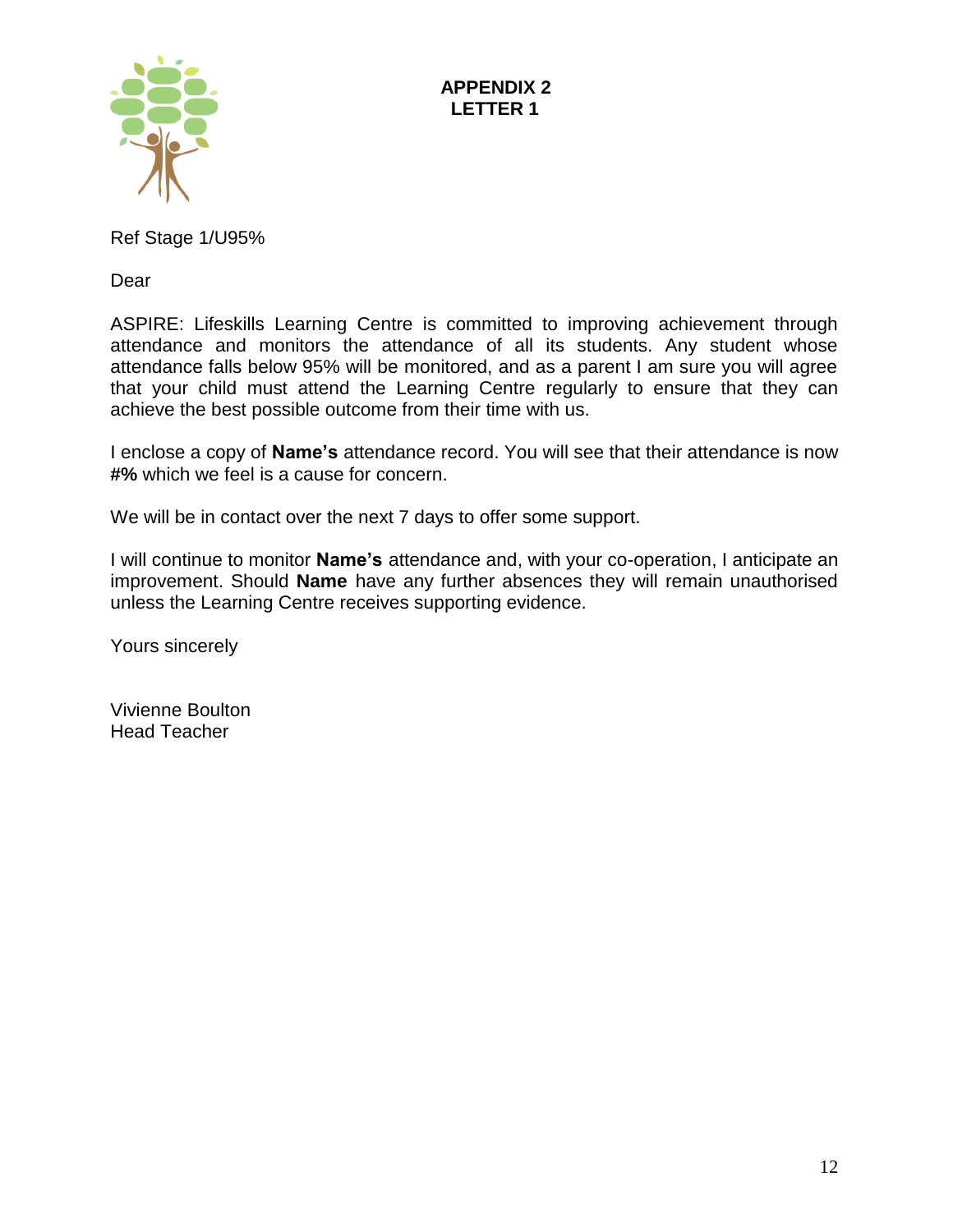

Ref Stage 1/U95%

Dear

ASPIRE: Lifeskills Learning Centre is committed to improving achievement through attendance and monitors the attendance of all its students. Any student whose attendance falls below 95% will be monitored, and as a parent I am sure you will agree that your child must attend the Learning Centre regularly to ensure that they can achieve the best possible outcome from their time with us.

I enclose a copy of **Name's** attendance record. You will see that their attendance is now **#%** which we feel is a cause for concern.

We will be in contact over the next 7 days to offer some support.

I will continue to monitor **Name's** attendance and, with your co-operation, I anticipate an improvement. Should **Name** have any further absences they will remain unauthorised unless the Learning Centre receives supporting evidence.

Yours sincerely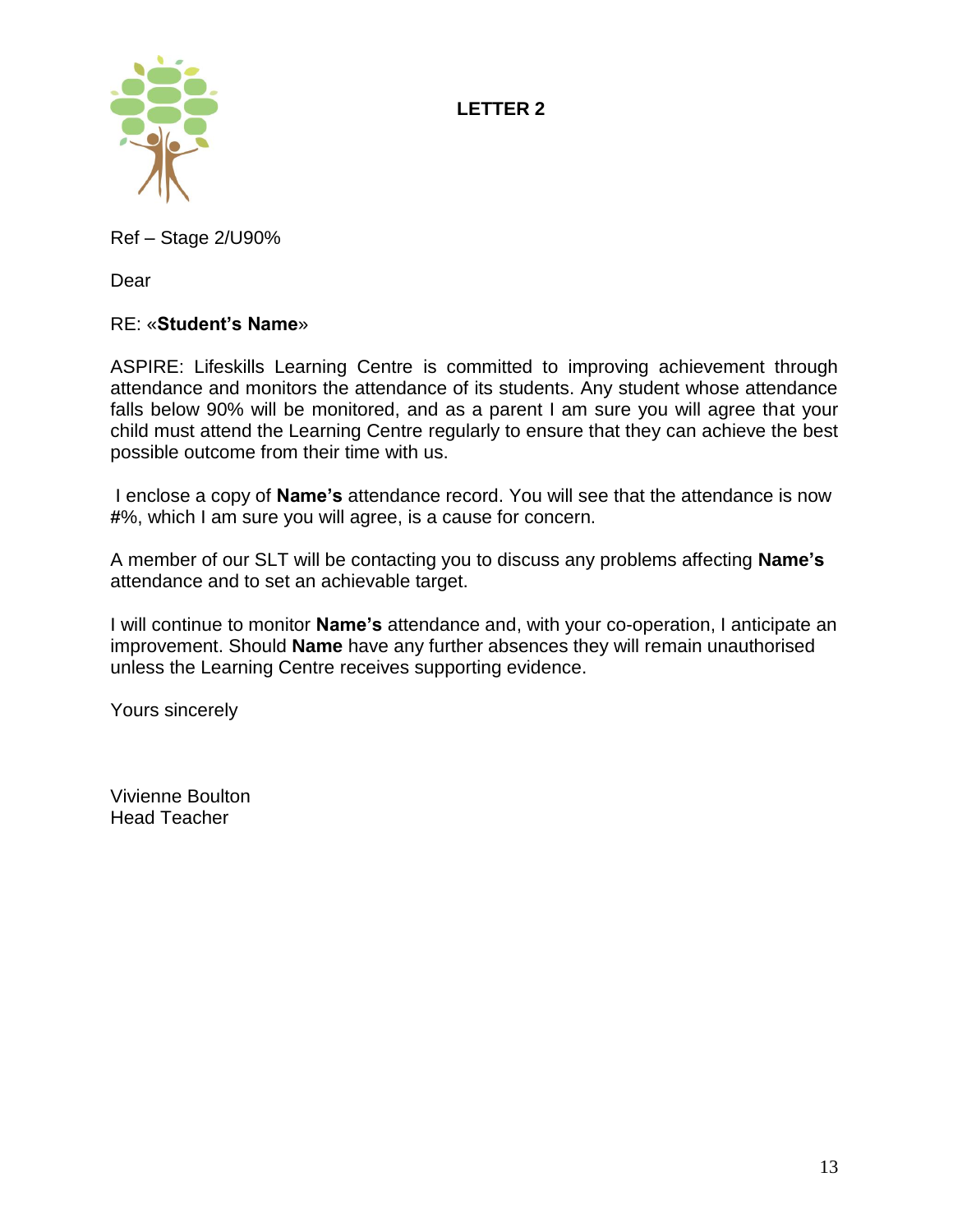**LETTER 2**



Ref – Stage 2/U90%

Dear

# RE: «**Student's Name**»

ASPIRE: Lifeskills Learning Centre is committed to improving achievement through attendance and monitors the attendance of its students. Any student whose attendance falls below 90% will be monitored, and as a parent I am sure you will agree that your child must attend the Learning Centre regularly to ensure that they can achieve the best possible outcome from their time with us.

I enclose a copy of **Name's** attendance record. You will see that the attendance is now **#**%, which I am sure you will agree, is a cause for concern.

A member of our SLT will be contacting you to discuss any problems affecting **Name's**  attendance and to set an achievable target.

I will continue to monitor **Name's** attendance and, with your co-operation, I anticipate an improvement. Should **Name** have any further absences they will remain unauthorised unless the Learning Centre receives supporting evidence.

Yours sincerely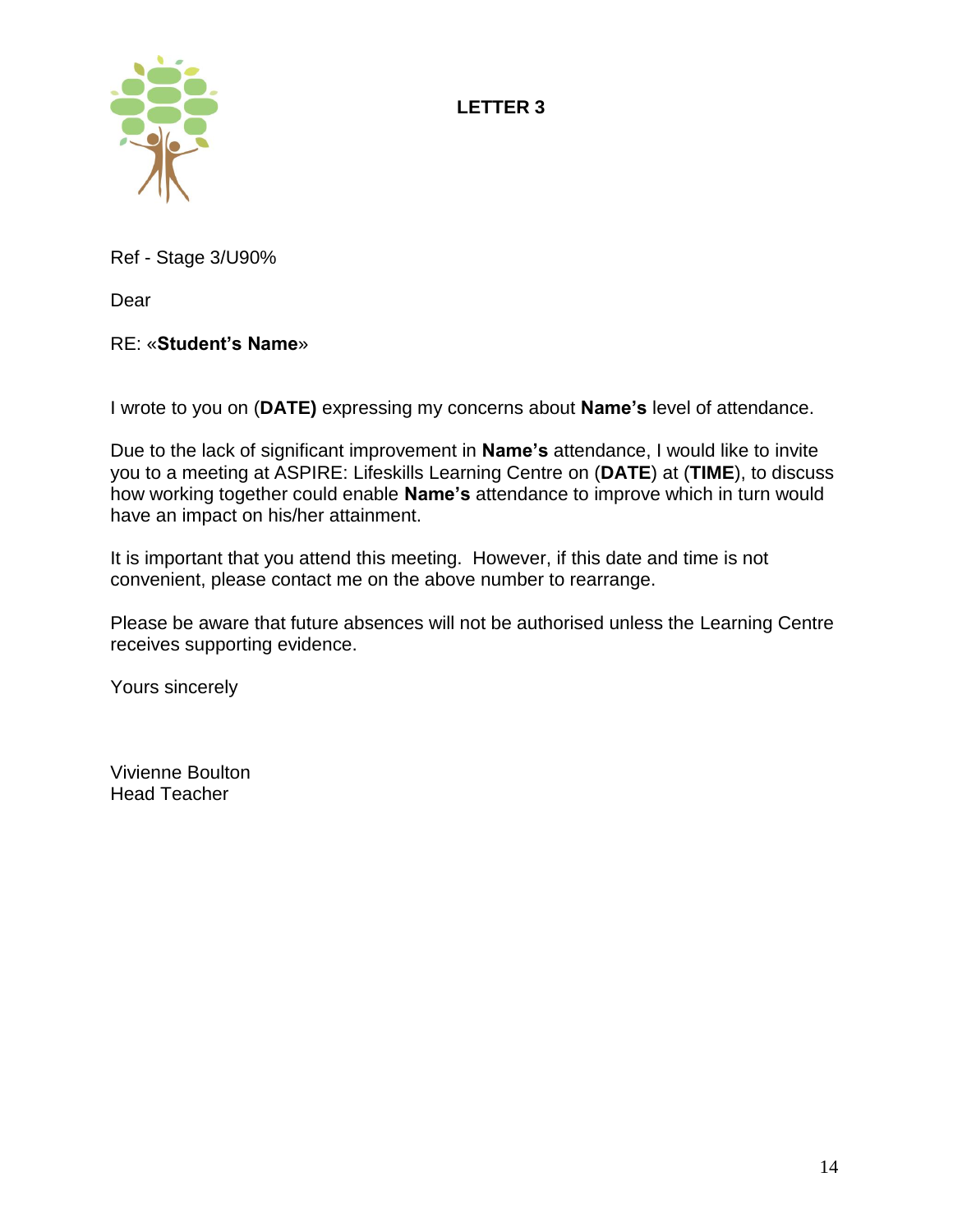**LETTER 3**



Ref - Stage 3/U90%

Dear

# RE: «**Student's Name**»

I wrote to you on (**DATE)** expressing my concerns about **Name's** level of attendance.

Due to the lack of significant improvement in **Name's** attendance, I would like to invite you to a meeting at ASPIRE: Lifeskills Learning Centre on (**DATE**) at (**TIME**), to discuss how working together could enable **Name's** attendance to improve which in turn would have an impact on his/her attainment.

It is important that you attend this meeting. However, if this date and time is not convenient, please contact me on the above number to rearrange.

Please be aware that future absences will not be authorised unless the Learning Centre receives supporting evidence.

Yours sincerely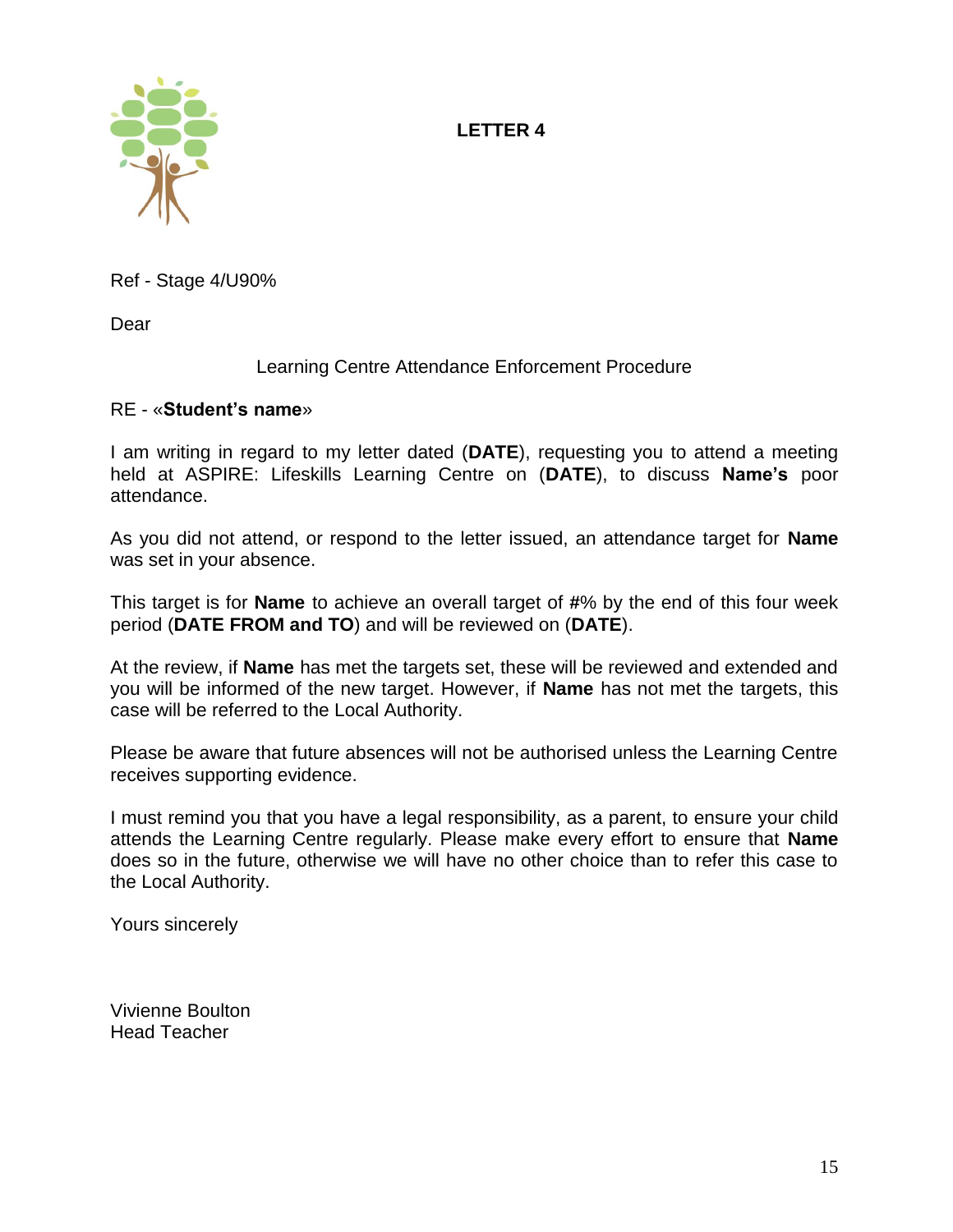# **LETTER 4**



Ref - Stage 4/U90%

Dear

# Learning Centre Attendance Enforcement Procedure

#### RE - «**Student's name**»

I am writing in regard to my letter dated (**DATE**), requesting you to attend a meeting held at ASPIRE: Lifeskills Learning Centre on (**DATE**), to discuss **Name's** poor attendance.

As you did not attend, or respond to the letter issued, an attendance target for **Name**  was set in your absence.

This target is for **Name** to achieve an overall target of **#**% by the end of this four week period (**DATE FROM and TO**) and will be reviewed on (**DATE**).

At the review, if **Name** has met the targets set, these will be reviewed and extended and you will be informed of the new target. However, if **Name** has not met the targets, this case will be referred to the Local Authority.

Please be aware that future absences will not be authorised unless the Learning Centre receives supporting evidence.

I must remind you that you have a legal responsibility, as a parent, to ensure your child attends the Learning Centre regularly. Please make every effort to ensure that **Name**  does so in the future, otherwise we will have no other choice than to refer this case to the Local Authority.

Yours sincerely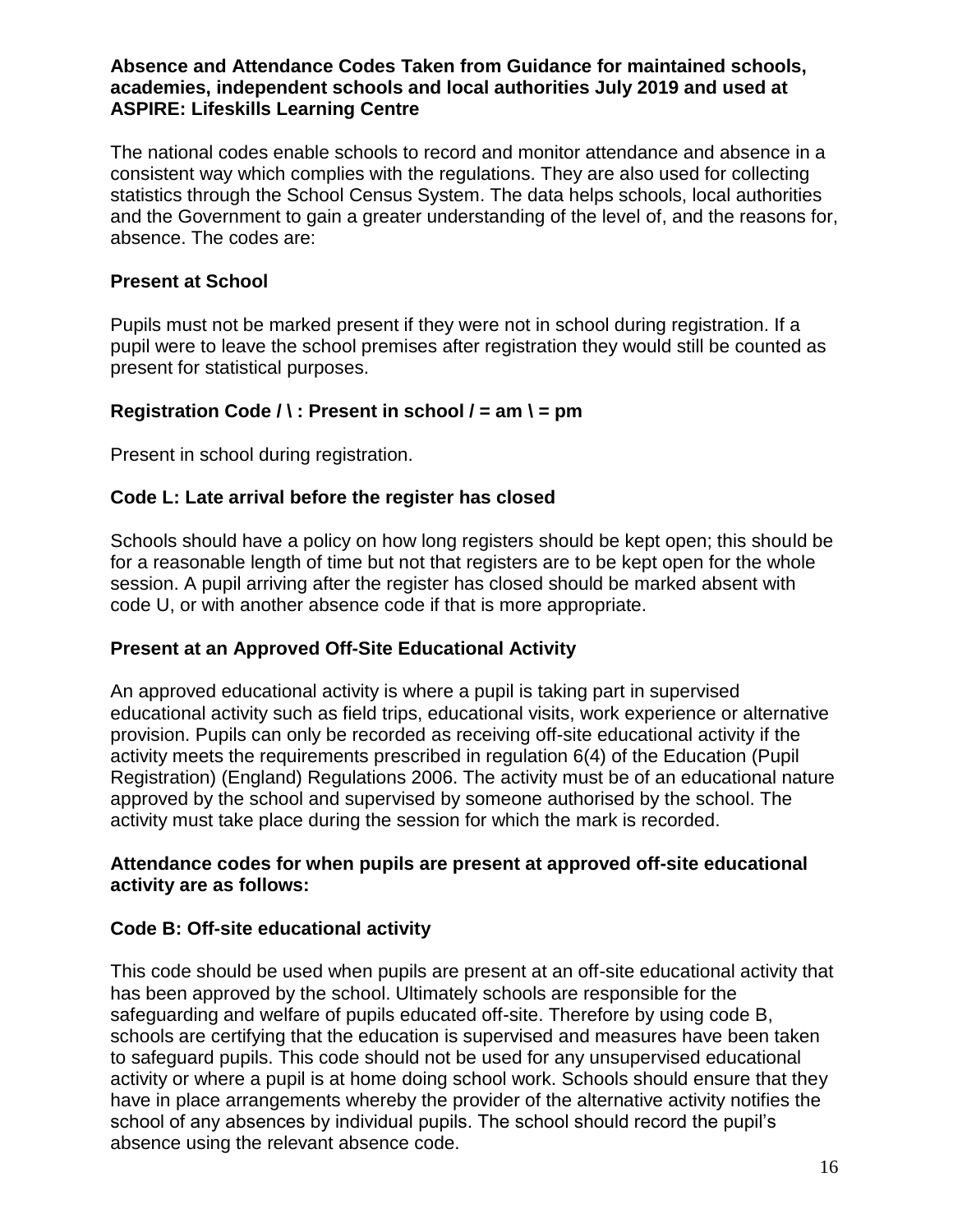#### **Absence and Attendance Codes Taken from Guidance for maintained schools, academies, independent schools and local authorities July 2019 and used at ASPIRE: Lifeskills Learning Centre**

The national codes enable schools to record and monitor attendance and absence in a consistent way which complies with the regulations. They are also used for collecting statistics through the School Census System. The data helps schools, local authorities and the Government to gain a greater understanding of the level of, and the reasons for, absence. The codes are:

# **Present at School**

Pupils must not be marked present if they were not in school during registration. If a pupil were to leave the school premises after registration they would still be counted as present for statistical purposes.

# **Registration Code / \ : Present in school / = am \ = pm**

Present in school during registration.

# **Code L: Late arrival before the register has closed**

Schools should have a policy on how long registers should be kept open; this should be for a reasonable length of time but not that registers are to be kept open for the whole session. A pupil arriving after the register has closed should be marked absent with code U, or with another absence code if that is more appropriate.

# **Present at an Approved Off-Site Educational Activity**

An approved educational activity is where a pupil is taking part in supervised educational activity such as field trips, educational visits, work experience or alternative provision. Pupils can only be recorded as receiving off-site educational activity if the activity meets the requirements prescribed in regulation 6(4) of the Education (Pupil Registration) (England) Regulations 2006. The activity must be of an educational nature approved by the school and supervised by someone authorised by the school. The activity must take place during the session for which the mark is recorded.

#### **Attendance codes for when pupils are present at approved off-site educational activity are as follows:**

# **Code B: Off-site educational activity**

This code should be used when pupils are present at an off-site educational activity that has been approved by the school. Ultimately schools are responsible for the safeguarding and welfare of pupils educated off-site. Therefore by using code B, schools are certifying that the education is supervised and measures have been taken to safeguard pupils. This code should not be used for any unsupervised educational activity or where a pupil is at home doing school work. Schools should ensure that they have in place arrangements whereby the provider of the alternative activity notifies the school of any absences by individual pupils. The school should record the pupil's absence using the relevant absence code.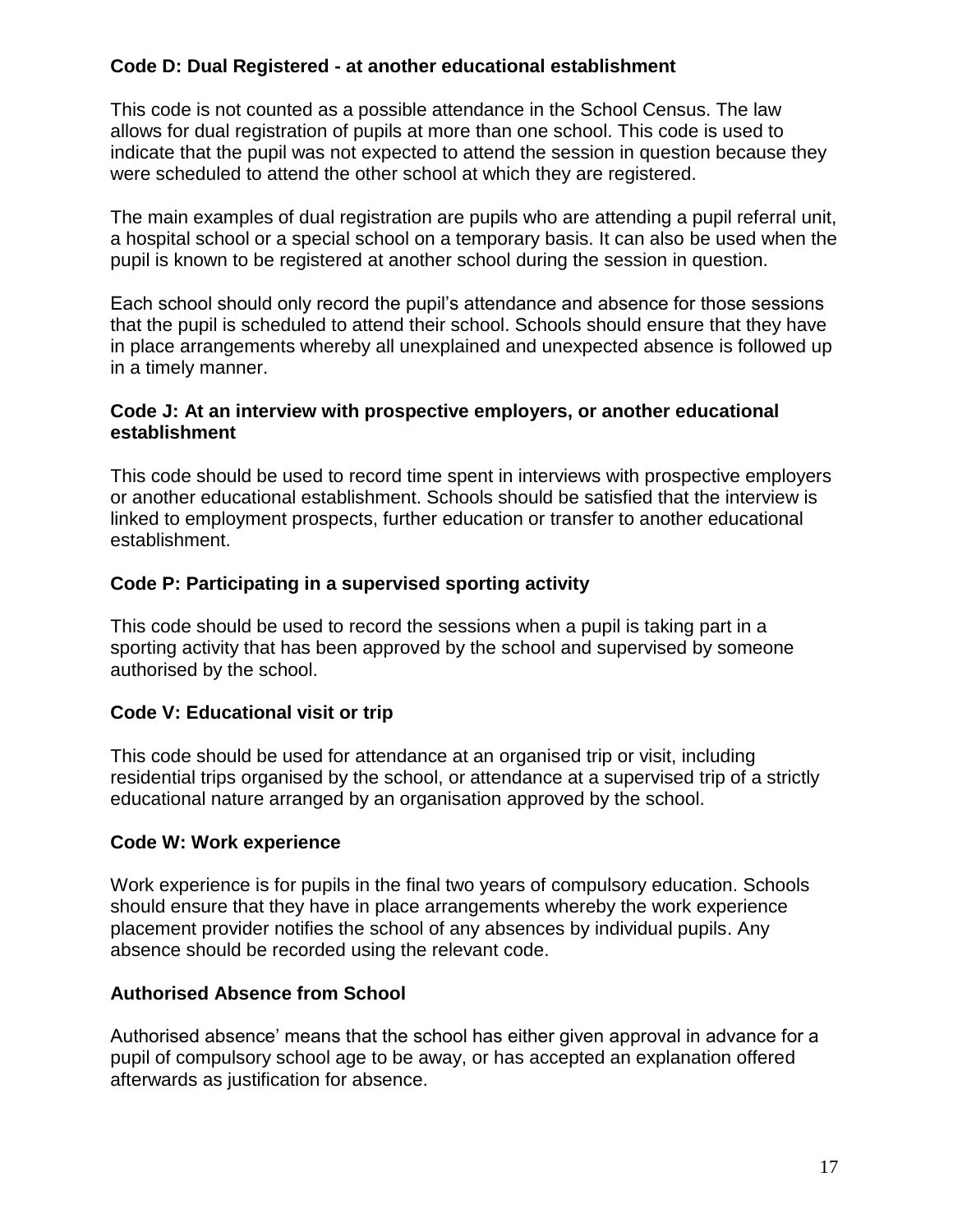# **Code D: Dual Registered - at another educational establishment**

This code is not counted as a possible attendance in the School Census. The law allows for dual registration of pupils at more than one school. This code is used to indicate that the pupil was not expected to attend the session in question because they were scheduled to attend the other school at which they are registered.

The main examples of dual registration are pupils who are attending a pupil referral unit, a hospital school or a special school on a temporary basis. It can also be used when the pupil is known to be registered at another school during the session in question.

Each school should only record the pupil's attendance and absence for those sessions that the pupil is scheduled to attend their school. Schools should ensure that they have in place arrangements whereby all unexplained and unexpected absence is followed up in a timely manner.

#### **Code J: At an interview with prospective employers, or another educational establishment**

This code should be used to record time spent in interviews with prospective employers or another educational establishment. Schools should be satisfied that the interview is linked to employment prospects, further education or transfer to another educational establishment.

# **Code P: Participating in a supervised sporting activity**

This code should be used to record the sessions when a pupil is taking part in a sporting activity that has been approved by the school and supervised by someone authorised by the school.

# **Code V: Educational visit or trip**

This code should be used for attendance at an organised trip or visit, including residential trips organised by the school, or attendance at a supervised trip of a strictly educational nature arranged by an organisation approved by the school.

# **Code W: Work experience**

Work experience is for pupils in the final two years of compulsory education. Schools should ensure that they have in place arrangements whereby the work experience placement provider notifies the school of any absences by individual pupils. Any absence should be recorded using the relevant code.

# **Authorised Absence from School**

Authorised absence' means that the school has either given approval in advance for a pupil of compulsory school age to be away, or has accepted an explanation offered afterwards as justification for absence.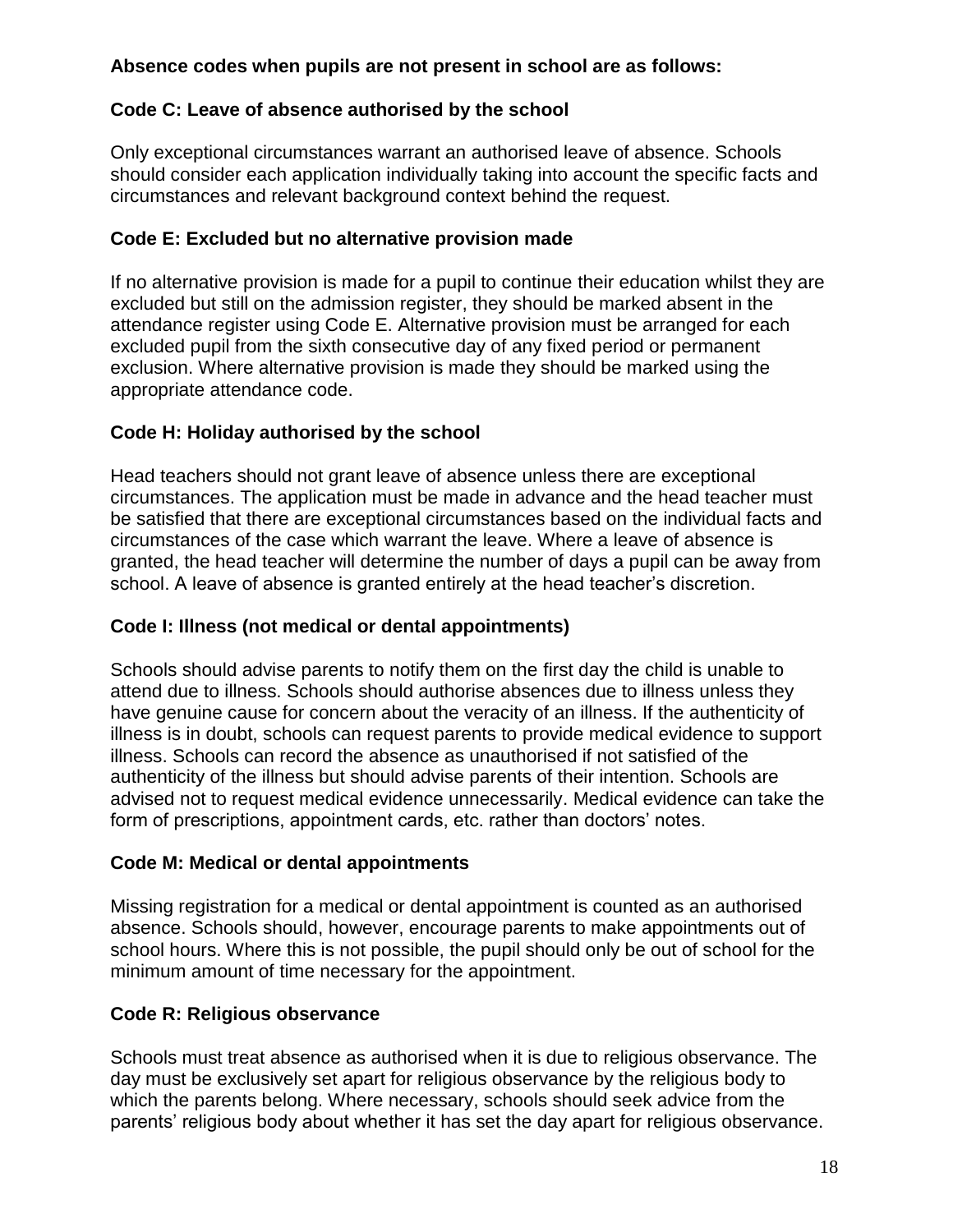# **Absence codes when pupils are not present in school are as follows:**

# **Code C: Leave of absence authorised by the school**

Only exceptional circumstances warrant an authorised leave of absence. Schools should consider each application individually taking into account the specific facts and circumstances and relevant background context behind the request.

# **Code E: Excluded but no alternative provision made**

If no alternative provision is made for a pupil to continue their education whilst they are excluded but still on the admission register, they should be marked absent in the attendance register using Code E. Alternative provision must be arranged for each excluded pupil from the sixth consecutive day of any fixed period or permanent exclusion. Where alternative provision is made they should be marked using the appropriate attendance code.

# **Code H: Holiday authorised by the school**

Head teachers should not grant leave of absence unless there are exceptional circumstances. The application must be made in advance and the head teacher must be satisfied that there are exceptional circumstances based on the individual facts and circumstances of the case which warrant the leave. Where a leave of absence is granted, the head teacher will determine the number of days a pupil can be away from school. A leave of absence is granted entirely at the head teacher's discretion.

# **Code I: Illness (not medical or dental appointments)**

Schools should advise parents to notify them on the first day the child is unable to attend due to illness. Schools should authorise absences due to illness unless they have genuine cause for concern about the veracity of an illness. If the authenticity of illness is in doubt, schools can request parents to provide medical evidence to support illness. Schools can record the absence as unauthorised if not satisfied of the authenticity of the illness but should advise parents of their intention. Schools are advised not to request medical evidence unnecessarily. Medical evidence can take the form of prescriptions, appointment cards, etc. rather than doctors' notes.

# **Code M: Medical or dental appointments**

Missing registration for a medical or dental appointment is counted as an authorised absence. Schools should, however, encourage parents to make appointments out of school hours. Where this is not possible, the pupil should only be out of school for the minimum amount of time necessary for the appointment.

# **Code R: Religious observance**

Schools must treat absence as authorised when it is due to religious observance. The day must be exclusively set apart for religious observance by the religious body to which the parents belong. Where necessary, schools should seek advice from the parents' religious body about whether it has set the day apart for religious observance.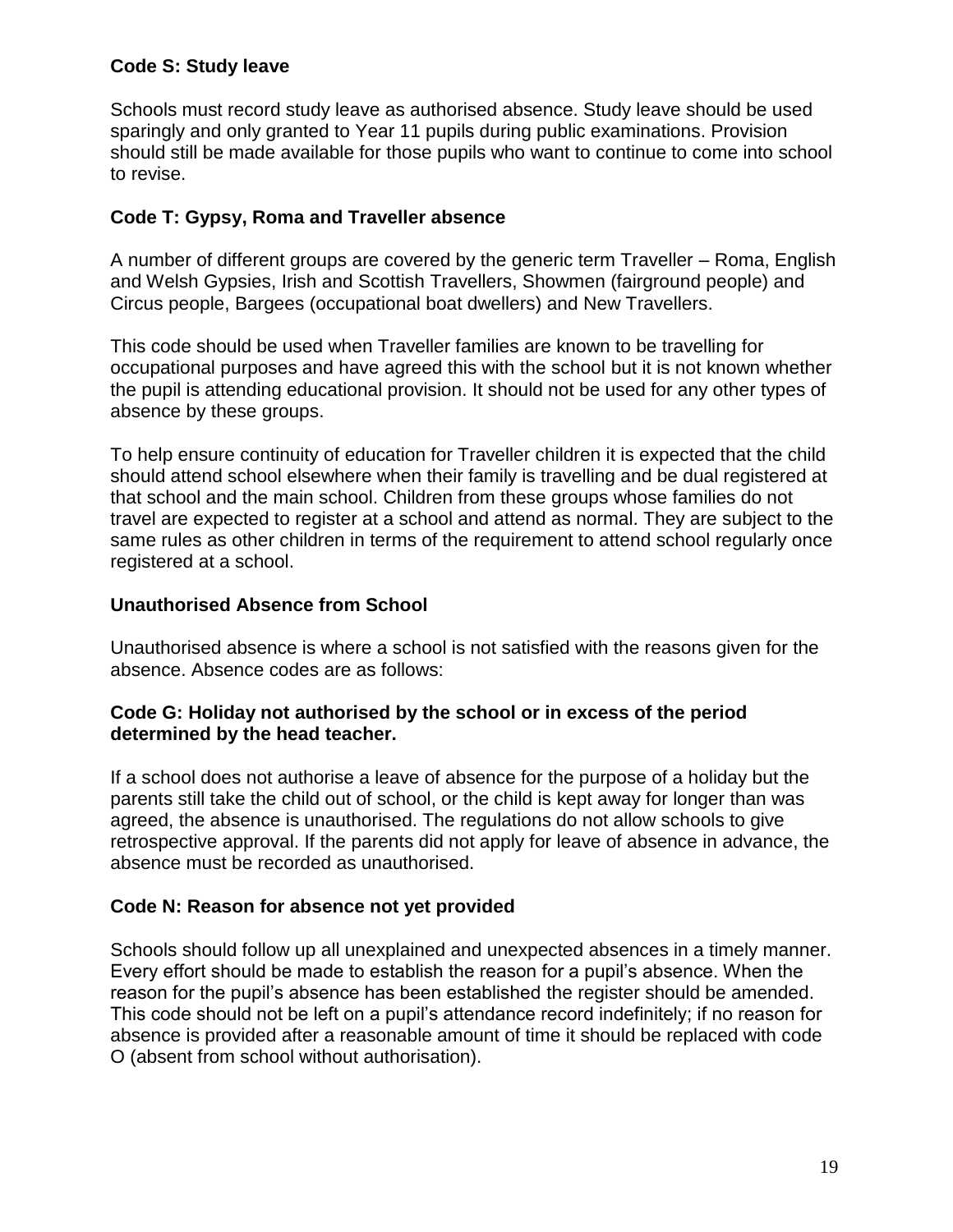## **Code S: Study leave**

Schools must record study leave as authorised absence. Study leave should be used sparingly and only granted to Year 11 pupils during public examinations. Provision should still be made available for those pupils who want to continue to come into school to revise.

# **Code T: Gypsy, Roma and Traveller absence**

A number of different groups are covered by the generic term Traveller – Roma, English and Welsh Gypsies, Irish and Scottish Travellers, Showmen (fairground people) and Circus people, Bargees (occupational boat dwellers) and New Travellers.

This code should be used when Traveller families are known to be travelling for occupational purposes and have agreed this with the school but it is not known whether the pupil is attending educational provision. It should not be used for any other types of absence by these groups.

To help ensure continuity of education for Traveller children it is expected that the child should attend school elsewhere when their family is travelling and be dual registered at that school and the main school. Children from these groups whose families do not travel are expected to register at a school and attend as normal. They are subject to the same rules as other children in terms of the requirement to attend school regularly once registered at a school.

## **Unauthorised Absence from School**

Unauthorised absence is where a school is not satisfied with the reasons given for the absence. Absence codes are as follows:

#### **Code G: Holiday not authorised by the school or in excess of the period determined by the head teacher.**

If a school does not authorise a leave of absence for the purpose of a holiday but the parents still take the child out of school, or the child is kept away for longer than was agreed, the absence is unauthorised. The regulations do not allow schools to give retrospective approval. If the parents did not apply for leave of absence in advance, the absence must be recorded as unauthorised.

# **Code N: Reason for absence not yet provided**

Schools should follow up all unexplained and unexpected absences in a timely manner. Every effort should be made to establish the reason for a pupil's absence. When the reason for the pupil's absence has been established the register should be amended. This code should not be left on a pupil's attendance record indefinitely; if no reason for absence is provided after a reasonable amount of time it should be replaced with code O (absent from school without authorisation).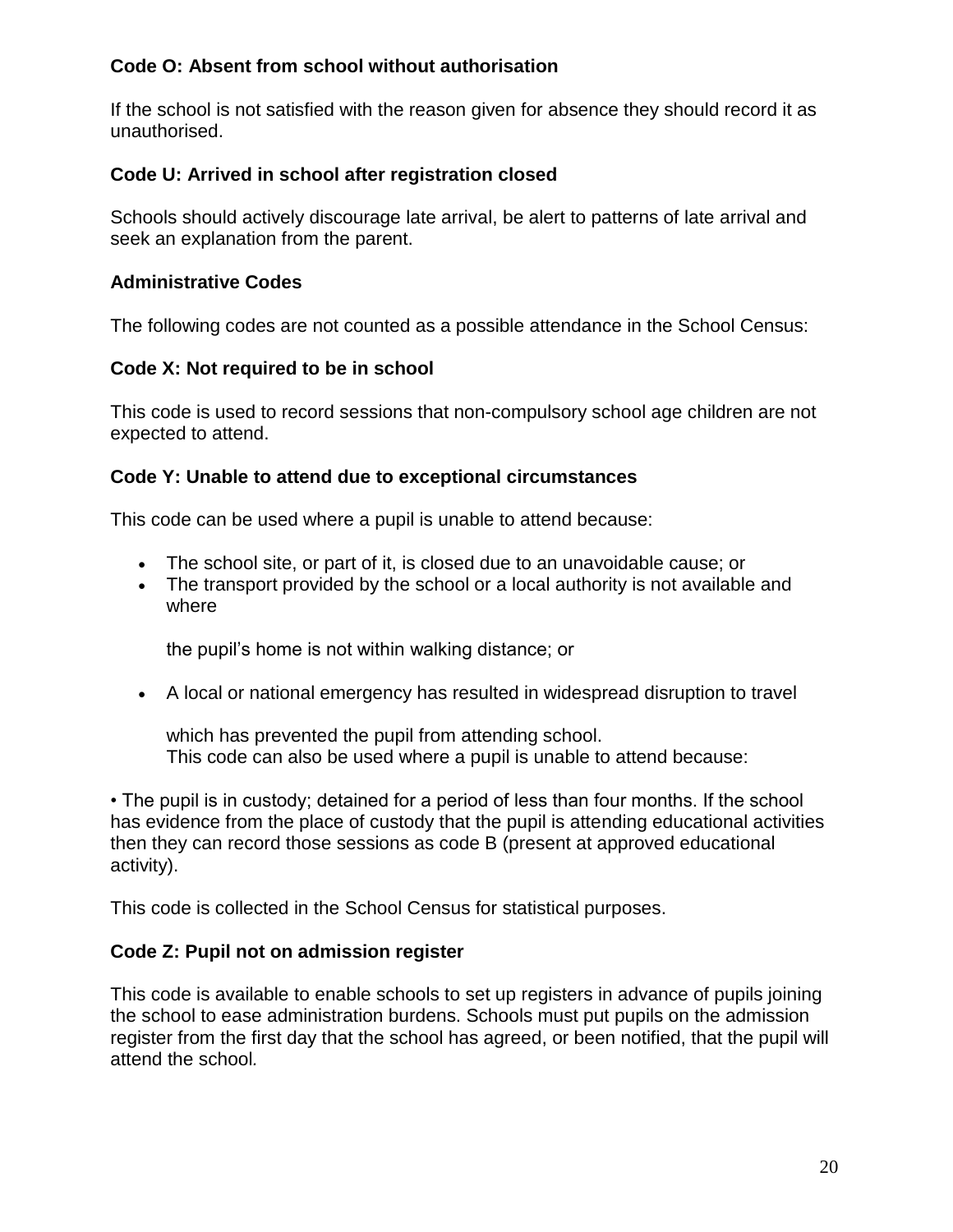## **Code O: Absent from school without authorisation**

If the school is not satisfied with the reason given for absence they should record it as unauthorised.

## **Code U: Arrived in school after registration closed**

Schools should actively discourage late arrival, be alert to patterns of late arrival and seek an explanation from the parent.

## **Administrative Codes**

The following codes are not counted as a possible attendance in the School Census:

## **Code X: Not required to be in school**

This code is used to record sessions that non-compulsory school age children are not expected to attend.

## **Code Y: Unable to attend due to exceptional circumstances**

This code can be used where a pupil is unable to attend because:

- The school site, or part of it, is closed due to an unavoidable cause; or
- The transport provided by the school or a local authority is not available and where

the pupil's home is not within walking distance; or

• A local or national emergency has resulted in widespread disruption to travel

which has prevented the pupil from attending school. This code can also be used where a pupil is unable to attend because:

• The pupil is in custody; detained for a period of less than four months. If the school has evidence from the place of custody that the pupil is attending educational activities then they can record those sessions as code B (present at approved educational activity).

This code is collected in the School Census for statistical purposes.

#### **Code Z: Pupil not on admission register**

This code is available to enable schools to set up registers in advance of pupils joining the school to ease administration burdens. Schools must put pupils on the admission register from the first day that the school has agreed, or been notified, that the pupil will attend the school*.*